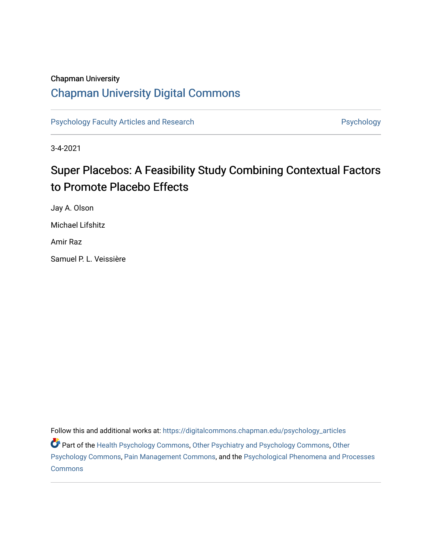# Chapman University

# [Chapman University Digital Commons](https://digitalcommons.chapman.edu/)

[Psychology Faculty Articles and Research](https://digitalcommons.chapman.edu/psychology_articles) **Psychology** Psychology

3-4-2021

# Super Placebos: A Feasibility Study Combining Contextual Factors to Promote Placebo Effects

Jay A. Olson Michael Lifshitz

Amir Raz

Samuel P. L. Veissière

Follow this and additional works at: [https://digitalcommons.chapman.edu/psychology\\_articles](https://digitalcommons.chapman.edu/psychology_articles?utm_source=digitalcommons.chapman.edu%2Fpsychology_articles%2F243&utm_medium=PDF&utm_campaign=PDFCoverPages) Part of the [Health Psychology Commons](http://network.bepress.com/hgg/discipline/411?utm_source=digitalcommons.chapman.edu%2Fpsychology_articles%2F243&utm_medium=PDF&utm_campaign=PDFCoverPages), [Other Psychiatry and Psychology Commons](http://network.bepress.com/hgg/discipline/992?utm_source=digitalcommons.chapman.edu%2Fpsychology_articles%2F243&utm_medium=PDF&utm_campaign=PDFCoverPages), [Other](http://network.bepress.com/hgg/discipline/415?utm_source=digitalcommons.chapman.edu%2Fpsychology_articles%2F243&utm_medium=PDF&utm_campaign=PDFCoverPages)  [Psychology Commons,](http://network.bepress.com/hgg/discipline/415?utm_source=digitalcommons.chapman.edu%2Fpsychology_articles%2F243&utm_medium=PDF&utm_campaign=PDFCoverPages) [Pain Management Commons,](http://network.bepress.com/hgg/discipline/1274?utm_source=digitalcommons.chapman.edu%2Fpsychology_articles%2F243&utm_medium=PDF&utm_campaign=PDFCoverPages) and the [Psychological Phenomena and Processes](http://network.bepress.com/hgg/discipline/914?utm_source=digitalcommons.chapman.edu%2Fpsychology_articles%2F243&utm_medium=PDF&utm_campaign=PDFCoverPages)  **[Commons](http://network.bepress.com/hgg/discipline/914?utm_source=digitalcommons.chapman.edu%2Fpsychology_articles%2F243&utm_medium=PDF&utm_campaign=PDFCoverPages)**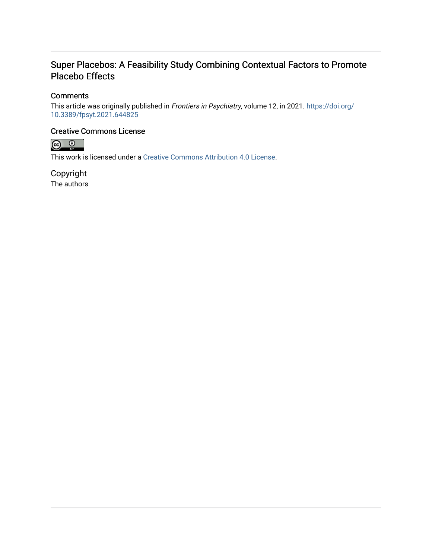# Super Placebos: A Feasibility Study Combining Contextual Factors to Promote Placebo Effects

# **Comments**

This article was originally published in Frontiers in Psychiatry, volume 12, in 2021. [https://doi.org/](https://doi.org/10.3389/fpsyt.2021.644825) [10.3389/fpsyt.2021.644825](https://doi.org/10.3389/fpsyt.2021.644825) 

## Creative Commons License



This work is licensed under a [Creative Commons Attribution 4.0 License](https://creativecommons.org/licenses/by/4.0/).

Copyright The authors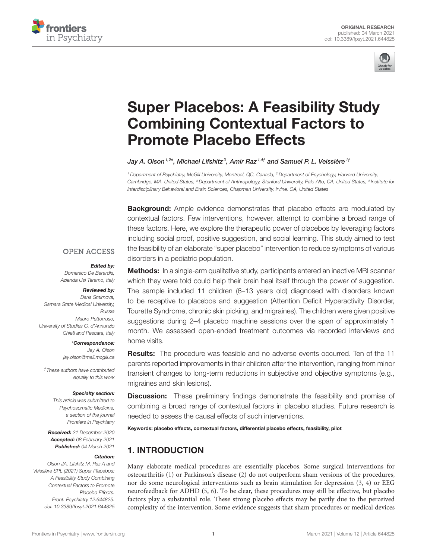



# [Super Placebos: A Feasibility Study](https://www.frontiersin.org/articles/10.3389/fpsyt.2021.644825/full) Combining Contextual Factors to Promote Placebo Effects

#### Jay A. Olson<sup>1,2\*</sup>, Michael Lifshitz<sup>3</sup>, Amir Raz<sup>1,4†</sup> and Samuel P. L. Veissière<sup>11</sup>

<sup>1</sup> Department of Psychiatry, McGill University, Montreal, QC, Canada, <sup>2</sup> Department of Psychology, Harvard University, Cambridge, MA, United States, <sup>3</sup> Department of Anthropology, Stanford University, Palo Alto, CA, United States, <sup>4</sup> Institute for Interdisciplinary Behavioral and Brain Sciences, Chapman University, Irvine, CA, United States

**Background:** Ample evidence demonstrates that placebo effects are modulated by contextual factors. Few interventions, however, attempt to combine a broad range of these factors. Here, we explore the therapeutic power of placebos by leveraging factors including social proof, positive suggestion, and social learning. This study aimed to test the feasibility of an elaborate "super placebo" intervention to reduce symptoms of various disorders in a pediatric population.

#### **OPEN ACCESS**

#### Edited by:

Domenico De Berardis, Azienda Usl Teramo, Italy

#### Reviewed by:

Daria Smirnova, Samara State Medical University, Russia Mauro Pettorruso, University of Studies G. d'Annunzio Chieti and Pescara, Italy

\*Correspondence:

Jay A. Olson [jay.olson@mail.mcgill.ca](mailto:jay.olson@mail.mcgill.ca)

†These authors have contributed equally to this work

#### Specialty section:

This article was submitted to Psychosomatic Medicine, a section of the journal Frontiers in Psychiatry

Received: 21 December 2020 Accepted: 08 February 2021 Published: 04 March 2021

#### Citation:

Olson JA, Lifshitz M, Raz A and Veissière SPL (2021) Super Placebos: A Feasibility Study Combining Contextual Factors to Promote Placebo Effects. Front. Psychiatry 12:644825. doi: [10.3389/fpsyt.2021.644825](https://doi.org/10.3389/fpsyt.2021.644825)

**Methods:** In a single-arm qualitative study, participants entered an inactive MRI scanner which they were told could help their brain heal itself through the power of suggestion. The sample included 11 children (6–13 years old) diagnosed with disorders known to be receptive to placebos and suggestion (Attention Deficit Hyperactivity Disorder, Tourette Syndrome, chronic skin picking, and migraines). The children were given positive suggestions during 2–4 placebo machine sessions over the span of approximately 1 month. We assessed open-ended treatment outcomes via recorded interviews and home visits.

Results: The procedure was feasible and no adverse events occurred. Ten of the 11 parents reported improvements in their children after the intervention, ranging from minor transient changes to long-term reductions in subjective and objective symptoms (e.g., migraines and skin lesions).

**Discussion:** These preliminary findings demonstrate the feasibility and promise of combining a broad range of contextual factors in placebo studies. Future research is needed to assess the causal effects of such interventions.

Keywords: placebo effects, contextual factors, differential placebo effects, feasibility, pilot

# 1. INTRODUCTION

Many elaborate medical procedures are essentially placebos. Some surgical interventions for osteoarthritis [\(1\)](#page-9-0) or Parkinson's disease [\(2\)](#page-9-1) do not outperform sham versions of the procedures, nor do some neurological interventions such as brain stimulation for depression [\(3,](#page-10-0) [4\)](#page-10-1) or EEG neurofeedback for ADHD [\(5,](#page-10-2) [6\)](#page-10-3). To be clear, these procedures may still be effective, but placebo factors play a substantial role. These strong placebo effects may be partly due to the perceived complexity of the intervention. Some evidence suggests that sham procedures or medical devices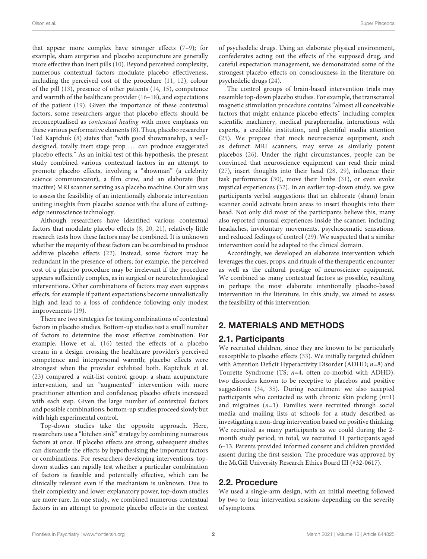that appear more complex have stronger effects [\(7](#page-10-4)[–9\)](#page-10-5); for example, sham surgeries and placebo acupuncture are generally more effective than inert pills [\(10\)](#page-10-6). Beyond perceived complexity, numerous contextual factors modulate placebo effectiveness, including the perceived cost of the procedure [\(11,](#page-10-7) [12\)](#page-10-8), colour of the pill [\(13\)](#page-10-9), presence of other patients [\(14,](#page-10-10) [15\)](#page-10-11), competence and warmth of the healthcare provider [\(16–](#page-10-12)[18\)](#page-10-13), and expectations of the patient [\(19\)](#page-10-14). Given the importance of these contextual factors, some researchers argue that placebo effects should be reconceptualised as contextual healing with more emphasis on these various performative elements [\(8\)](#page-10-15). Thus, placebo researcher Ted Kaptchuk [\(8\)](#page-10-15) states that "with good showmanship, a welldesigned, totally inert stage prop ... can produce exaggerated placebo effects." As an initial test of this hypothesis, the present study combined various contextual factors in an attempt to promote placebo effects, involving a "showman" (a celebrity science communicator), a film crew, and an elaborate (but inactive) MRI scanner serving as a placebo machine. Our aim was to assess the feasibility of an intentionally elaborate intervention uniting insights from placebo science with the allure of cuttingedge neuroscience technology.

Although researchers have identified various contextual factors that modulate placebo effects [\(8,](#page-10-15) [20,](#page-10-16) [21\)](#page-10-17), relatively little research tests how these factors may be combined. It is unknown whether the majority of these factors can be combined to produce additive placebo effects [\(22\)](#page-10-18). Instead, some factors may be redundant in the presence of others; for example, the perceived cost of a placebo procedure may be irrelevant if the procedure appears sufficiently complex, as in surgical or neurotechnological interventions. Other combinations of factors may even suppress effects, for example if patient expectations become unrealistically high and lead to a loss of confidence following only modest improvements [\(19\)](#page-10-14).

There are two strategies for testing combinations of contextual factors in placebo studies. Bottom-up studies test a small number of factors to determine the most effective combination. For example, Howe et al. [\(16\)](#page-10-12) tested the effects of a placebo cream in a design crossing the healthcare provider's perceived competence and interpersonal warmth; placebo effects were strongest when the provider exhibited both. Kaptchuk et al. [\(23\)](#page-10-19) compared a wait-list control group, a sham acupuncture intervention, and an "augmented" intervention with more practitioner attention and confidence; placebo effects increased with each step. Given the large number of contextual factors and possible combinations, bottom-up studies proceed slowly but with high experimental control.

Top-down studies take the opposite approach. Here, researchers use a "kitchen sink" strategy by combining numerous factors at once. If placebo effects are strong, subsequent studies can dismantle the effects by hypothesising the important factors or combinations. For researchers developing interventions, topdown studies can rapidly test whether a particular combination of factors is feasible and potentially effective, which can be clinically relevant even if the mechanism is unknown. Due to their complexity and lower explanatory power, top-down studies are more rare. In one study, we combined numerous contextual factors in an attempt to promote placebo effects in the context of psychedelic drugs. Using an elaborate physical environment, confederates acting out the effects of the supposed drug, and careful expectation management, we demonstrated some of the strongest placebo effects on consciousness in the literature on psychedelic drugs [\(24\)](#page-10-20).

The control groups of brain-based intervention trials may resemble top-down placebo studies. For example, the transcranial magnetic stimulation procedure contains "almost all conceivable factors that might enhance placebo effects," including complex scientific machinery, medical paraphernalia, interactions with experts, a credible institution, and plentiful media attention [\(25\)](#page-10-21). We propose that mock neuroscience equipment, such as defunct MRI scanners, may serve as similarly potent placebos [\(26\)](#page-10-22). Under the right circumstances, people can be convinced that neuroscience equipment can read their mind [\(27\)](#page-10-23), insert thoughts into their head [\(28,](#page-10-24) [29\)](#page-10-25), influence their task performance [\(30\)](#page-10-26), move their limbs [\(31\)](#page-10-27), or even evoke mystical experiences [\(32\)](#page-10-28). In an earlier top-down study, we gave participants verbal suggestions that an elaborate (sham) brain scanner could activate brain areas to insert thoughts into their head. Not only did most of the participants believe this, many also reported unusual experiences inside the scanner, including headaches, involuntary movements, psychosomatic sensations, and reduced feelings of control [\(29\)](#page-10-25). We suspected that a similar intervention could be adapted to the clinical domain.

Accordingly, we developed an elaborate intervention which leverages the cues, props, and rituals of the therapeutic encounter as well as the cultural prestige of neuroscience equipment. We combined as many contextual factors as possible, resulting in perhaps the most elaborate intentionally placebo-based intervention in the literature. In this study, we aimed to assess the feasibility of this intervention.

# 2. MATERIALS AND METHODS

# 2.1. Participants

We recruited children, since they are known to be particularly susceptible to placebo effects [\(33\)](#page-10-29). We initially targeted children with Attention Deficit Hyperactivity Disorder (ADHD;  $n=8$ ) and Tourette Syndrome (TS;  $n=4$ , often co-morbid with ADHD), two disorders known to be receptive to placebos and positive suggestions [\(34,](#page-10-30) [35\)](#page-10-31). During recruitment we also accepted participants who contacted us with chronic skin picking  $(n=1)$ and migraines  $(n=1)$ . Families were recruited through social media and mailing lists at schools for a study described as investigating a non-drug intervention based on positive thinking. We recruited as many participants as we could during the 2 month study period; in total, we recruited 11 participants aged 6–13. Parents provided informed consent and children provided assent during the first session. The procedure was approved by the McGill University Research Ethics Board III (#32-0617).

# 2.2. Procedure

We used a single-arm design, with an initial meeting followed by two to four intervention sessions depending on the severity of symptoms.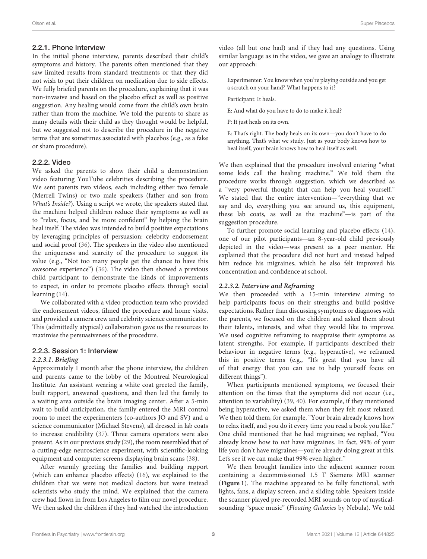In the initial phone interview, parents described their child's symptoms and history. The parents often mentioned that they saw limited results from standard treatments or that they did not wish to put their children on medication due to side effects. We fully briefed parents on the procedure, explaining that it was non-invasive and based on the placebo effect as well as positive suggestion. Any healing would come from the child's own brain rather than from the machine. We told the parents to share as many details with their child as they thought would be helpful, but we suggested not to describe the procedure in the negative terms that are sometimes associated with placebos (e.g., as a fake or sham procedure).

#### 2.2.2. Video

We asked the parents to show their child a demonstration video featuring YouTube celebrities describing the procedure. We sent parents two videos, each including either two female (Merrell Twins) or two male speakers (father and son from What's Inside?). Using a script we wrote, the speakers stated that the machine helped children reduce their symptoms as well as to "relax, focus, and be more confident" by helping the brain heal itself. The video was intended to build positive expectations by leveraging principles of persuasion: celebrity endorsement and social proof [\(36\)](#page-10-32). The speakers in the video also mentioned the uniqueness and scarcity of the procedure to suggest its value (e.g., "Not too many people get the chance to have this awesome experience") [\(36\)](#page-10-32). The video then showed a previous child participant to demonstrate the kinds of improvements to expect, in order to promote placebo effects through social learning [\(14\)](#page-10-10).

We collaborated with a video production team who provided the endorsement videos, filmed the procedure and home visits, and provided a camera crew and celebrity science communicator. This (admittedly atypical) collaboration gave us the resources to maximise the persuasiveness of the procedure.

#### 2.2.3. Session 1: Interview

#### **2.2.3.1. Briefing**

Approximately 1 month after the phone interview, the children and parents came to the lobby of the Montreal Neurological Institute. An assistant wearing a white coat greeted the family, built rapport, answered questions, and then led the family to a waiting area outside the brain imaging center. After a 5-min wait to build anticipation, the family entered the MRI control room to meet the experimenters (co-authors JO and SV) and a science communicator (Michael Stevens), all dressed in lab coats to increase credibility [\(37\)](#page-10-33). Three camera operators were also present. As in our previous study [\(29\)](#page-10-25), the room resembled that of a cutting-edge neuroscience experiment, with scientific-looking equipment and computer screens displaying brain scans [\(38\)](#page-10-34).

After warmly greeting the families and building rapport (which can enhance placebo effects) [\(16\)](#page-10-12), we explained to the children that we were not medical doctors but were instead scientists who study the mind. We explained that the camera crew had flown in from Los Angeles to film our novel procedure. We then asked the children if they had watched the introduction video (all but one had) and if they had any questions. Using similar language as in the video, we gave an analogy to illustrate our approach:

Experimenter: You know when you're playing outside and you get a scratch on your hand? What happens to it?

Participant: It heals.

E: And what do you have to do to make it heal?

P: It just heals on its own.

E: That's right. The body heals on its own—you don't have to do anything. That's what we study. Just as your body knows how to heal itself, your brain knows how to heal itself as well.

We then explained that the procedure involved entering "what some kids call the healing machine." We told them the procedure works through suggestion, which we described as a "very powerful thought that can help you heal yourself." We stated that the entire intervention—"everything that we say and do, everything you see around us, this equipment, these lab coats, as well as the machine"—is part of the suggestion procedure.

To further promote social learning and placebo effects [\(14\)](#page-10-10), one of our pilot participants—an 8-year-old child previously depicted in the video—was present as a peer mentor. He explained that the procedure did not hurt and instead helped him reduce his migraines, which he also felt improved his concentration and confidence at school.

#### **2.2.3.2. Interview and Reframing**

We then proceeded with a 15-min interview aiming to help participants focus on their strengths and build positive expectations. Rather than discussing symptoms or diagnoses with the parents, we focused on the children and asked them about their talents, interests, and what they would like to improve. We used cognitive reframing to reappraise their symptoms as latent strengths. For example, if participants described their behaviour in negative terms (e.g., hyperactive), we reframed this in positive terms (e.g., "It's great that you have all of that energy that you can use to help yourself focus on different things").

When participants mentioned symptoms, we focused their attention on the times that the symptoms did not occur (i.e., attention to variability) [\(39,](#page-10-35) [40\)](#page-10-36). For example, if they mentioned being hyperactive, we asked them when they felt most relaxed. We then told them, for example, "Your brain already knows how to relax itself, and you do it every time you read a book you like." One child mentioned that he had migraines; we replied, "You already know how to not have migraines. In fact, 99% of your life you don't have migraines—you're already doing great at this. Let's see if we can make that 99% even higher."

We then brought families into the adjacent scanner room containing a decommissioned 1.5 T Siemens MRI scanner (**[Figure 1](#page-5-0)**). The machine appeared to be fully functional, with lights, fans, a display screen, and a sliding table. Speakers inside the scanner played pre-recorded MRI sounds on top of mysticalsounding "space music" (Floating Galaxies by Nebula). We told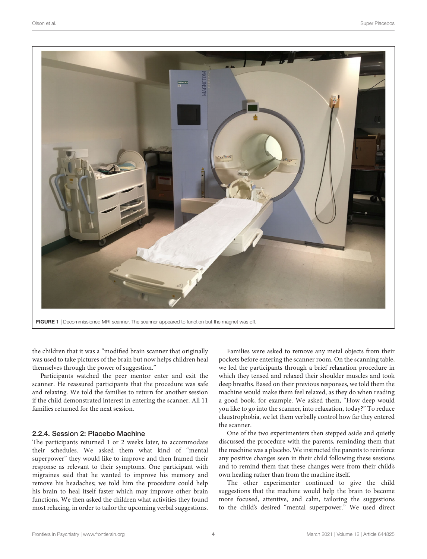

<span id="page-5-0"></span>FIGURE 1 | Decommissioned MRI scanner. The scanner appeared to function but the magnet was off.

the children that it was a "modified brain scanner that originally was used to take pictures of the brain but now helps children heal themselves through the power of suggestion."

Participants watched the peer mentor enter and exit the scanner. He reassured participants that the procedure was safe and relaxing. We told the families to return for another session if the child demonstrated interest in entering the scanner. All 11 families returned for the next session.

#### 2.2.4. Session 2: Placebo Machine

The participants returned 1 or 2 weeks later, to accommodate their schedules. We asked them what kind of "mental superpower" they would like to improve and then framed their response as relevant to their symptoms. One participant with migraines said that he wanted to improve his memory and remove his headaches; we told him the procedure could help his brain to heal itself faster which may improve other brain functions. We then asked the children what activities they found most relaxing, in order to tailor the upcoming verbal suggestions.

Families were asked to remove any metal objects from their pockets before entering the scanner room. On the scanning table, we led the participants through a brief relaxation procedure in which they tensed and relaxed their shoulder muscles and took deep breaths. Based on their previous responses, we told them the machine would make them feel relaxed, as they do when reading a good book, for example. We asked them, "How deep would you like to go into the scanner, into relaxation, today?" To reduce claustrophobia, we let them verbally control how far they entered the scanner.

One of the two experimenters then stepped aside and quietly discussed the procedure with the parents, reminding them that the machine was a placebo. We instructed the parents to reinforce any positive changes seen in their child following these sessions and to remind them that these changes were from their child's own healing rather than from the machine itself.

The other experimenter continued to give the child suggestions that the machine would help the brain to become more focused, attentive, and calm, tailoring the suggestions to the child's desired "mental superpower." We used direct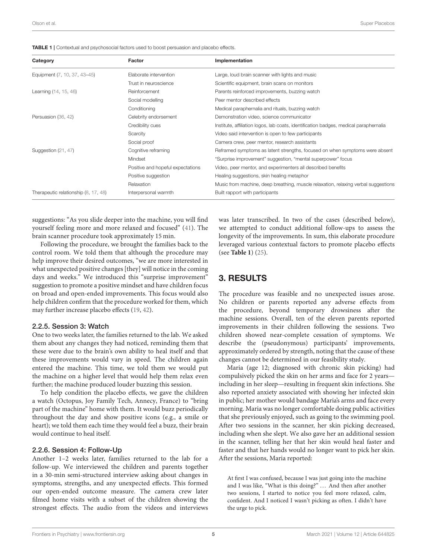<span id="page-6-0"></span>

| Category                             | Factor                            | Implementation                                                                        |
|--------------------------------------|-----------------------------------|---------------------------------------------------------------------------------------|
| Equipment (7, 10, 37, 43-45)         | Elaborate intervention            | Large, loud brain scanner with lights and music                                       |
|                                      | Trust in neuroscience             | Scientific equipment, brain scans on monitors                                         |
| Learning (14, 15, 46)                | Reinforcement                     | Parents reinforced improvements, buzzing watch                                        |
|                                      | Social modelling                  | Peer mentor described effects                                                         |
|                                      | Conditioning                      | Medical paraphernalia and rituals, buzzing watch                                      |
| Persuasion (36, 42)                  | Celebrity endorsement             | Demonstration video, science communicator                                             |
|                                      | Credibility cues                  | Institute, affiliation logos, lab coats, identification badges, medical paraphernalia |
|                                      | Scarcity                          | Video said intervention is open to few participants                                   |
|                                      | Social proof                      | Camera crew, peer mentor, research assistants                                         |
| Suggestion (21, 47)                  | Cognitive reframing               | Reframed symptoms as latent strengths, focused on when symptoms were absent           |
|                                      | Mindset                           | "Surprise improvement" suggestion, "mental superpower" focus                          |
|                                      | Positive and hopeful expectations | Video, peer mentor, and experimenters all described benefits                          |
|                                      | Positive suggestion               | Healing suggestions, skin healing metaphor                                            |
|                                      | Relaxation                        | Music from machine, deep breathing, muscle relaxation, relaxing verbal suggestions    |
| Therapeutic relationship (8, 17, 48) | Interpersonal warmth              | Built rapport with participants                                                       |

suggestions: "As you slide deeper into the machine, you will find yourself feeling more and more relaxed and focused" [\(41\)](#page-10-43). The brain scanner procedure took approximately 15 min.

Following the procedure, we brought the families back to the control room. We told them that although the procedure may help improve their desired outcomes, "we are more interested in what unexpected positive changes [they] will notice in the coming days and weeks." We introduced this "surprise improvement" suggestion to promote a positive mindset and have children focus on broad and open-ended improvements. This focus would also help children confirm that the procedure worked for them, which may further increase placebo effects [\(19,](#page-10-14) [42\)](#page-10-40).

#### 2.2.5. Session 3: Watch

One to two weeks later, the families returned to the lab. We asked them about any changes they had noticed, reminding them that these were due to the brain's own ability to heal itself and that these improvements would vary in speed. The children again entered the machine. This time, we told them we would put the machine on a higher level that would help them relax even further; the machine produced louder buzzing this session.

To help condition the placebo effects, we gave the children a watch (Octopus, Joy Family Tech, Annecy, France) to "bring part of the machine" home with them. It would buzz periodically throughout the day and show positive icons (e.g., a smile or heart); we told them each time they would feel a buzz, their brain would continue to heal itself.

#### 2.2.6. Session 4: Follow-Up

Another 1–2 weeks later, families returned to the lab for a follow-up. We interviewed the children and parents together in a 30-min semi-structured interview asking about changes in symptoms, strengths, and any unexpected effects. This formed our open-ended outcome measure. The camera crew later filmed home visits with a subset of the children showing the strongest effects. The audio from the videos and interviews

was later transcribed. In two of the cases (described below), we attempted to conduct additional follow-ups to assess the longevity of the improvements. In sum, this elaborate procedure leveraged various contextual factors to promote placebo effects (see **[Table 1](#page-6-0)**) [\(25\)](#page-10-21).

### 3. RESULTS

The procedure was feasible and no unexpected issues arose. No children or parents reported any adverse effects from the procedure, beyond temporary drowsiness after the machine sessions. Overall, ten of the eleven parents reported improvements in their children following the sessions. Two children showed near-complete cessation of symptoms. We describe the (pseudonymous) participants' improvements, approximately ordered by strength, noting that the cause of these changes cannot be determined in our feasibility study.

Maria (age 12; diagnosed with chronic skin picking) had compulsively picked the skin on her arms and face for 2 years including in her sleep—resulting in frequent skin infections. She also reported anxiety associated with showing her infected skin in public; her mother would bandage Maria's arms and face every morning. Maria was no longer comfortable doing public activities that she previously enjoyed, such as going to the swimming pool. After two sessions in the scanner, her skin picking decreased, including when she slept. We also gave her an additional session in the scanner, telling her that her skin would heal faster and faster and that her hands would no longer want to pick her skin. After the sessions, Maria reported:

At first I was confused, because I was just going into the machine and I was like, "What is this doing?" ... And then after another two sessions, I started to notice you feel more relaxed, calm, confident. And I noticed I wasn't picking as often. I didn't have the urge to pick.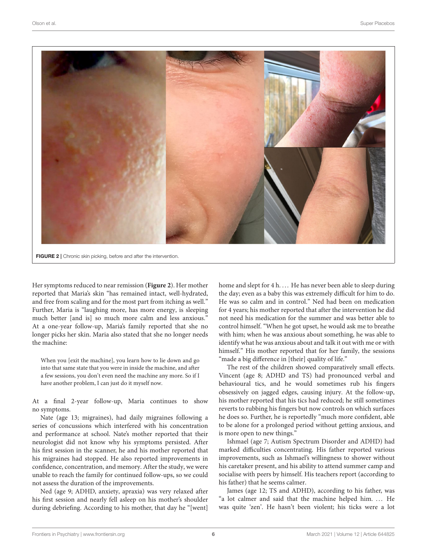

<span id="page-7-0"></span>Her symptoms reduced to near remission (**[Figure 2](#page-7-0)**). Her mother reported that Maria's skin "has remained intact, well-hydrated, and free from scaling and for the most part from itching as well." Further, Maria is "laughing more, has more energy, is sleeping much better [and is] so much more calm and less anxious." At a one-year follow-up, Maria's family reported that she no longer picks her skin. Maria also stated that she no longer needs the machine:

When you [exit the machine], you learn how to lie down and go into that same state that you were in inside the machine, and after a few sessions, you don't even need the machine any more. So if I have another problem, I can just do it myself now.

At a final 2-year follow-up, Maria continues to show no symptoms.

Nate (age 13; migraines), had daily migraines following a series of concussions which interfered with his concentration and performance at school. Nate's mother reported that their neurologist did not know why his symptoms persisted. After his first session in the scanner, he and his mother reported that his migraines had stopped. He also reported improvements in confidence, concentration, and memory. After the study, we were unable to reach the family for continued follow-ups, so we could not assess the duration of the improvements.

Ned (age 9; ADHD, anxiety, apraxia) was very relaxed after his first session and nearly fell asleep on his mother's shoulder during debriefing. According to his mother, that day he "[went] home and slept for 4 h.... He has never been able to sleep during the day; even as a baby this was extremely difficult for him to do. He was so calm and in control." Ned had been on medication for 4 years; his mother reported that after the intervention he did not need his medication for the summer and was better able to control himself. "When he got upset, he would ask me to breathe with him; when he was anxious about something, he was able to identify what he was anxious about and talk it out with me or with himself." His mother reported that for her family, the sessions "made a big difference in [their] quality of life."

The rest of the children showed comparatively small effects. Vincent (age 8; ADHD and TS) had pronounced verbal and behavioural tics, and he would sometimes rub his fingers obsessively on jagged edges, causing injury. At the follow-up, his mother reported that his tics had reduced; he still sometimes reverts to rubbing his fingers but now controls on which surfaces he does so. Further, he is reportedly "much more confident, able to be alone for a prolonged period without getting anxious, and is more open to new things."

Ishmael (age 7; Autism Spectrum Disorder and ADHD) had marked difficulties concentrating. His father reported various improvements, such as Ishmael's willingness to shower without his caretaker present, and his ability to attend summer camp and socialise with peers by himself. His teachers report (according to his father) that he seems calmer.

James (age 12; TS and ADHD), according to his father, was "a lot calmer and said that the machine helped him. ... He was quite 'zen'. He hasn't been violent; his ticks were a lot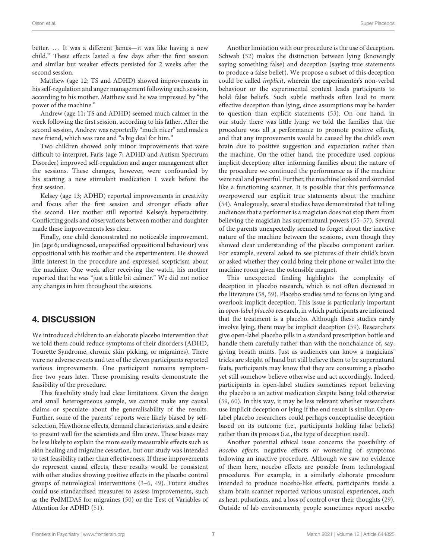better. ... It was a different James—it was like having a new child." These effects lasted a few days after the first session and similar but weaker effects persisted for 2 weeks after the second session.

Matthew (age 12; TS and ADHD) showed improvements in his self-regulation and anger management following each session, according to his mother. Matthew said he was impressed by "the power of the machine."

Andrew (age 11; TS and ADHD) seemed much calmer in the week following the first session, according to his father. After the second session, Andrew was reportedly "much nicer" and made a new friend, which was rare and "a big deal for him."

Two children showed only minor improvements that were difficult to interpret. Faris (age 7; ADHD and Autism Spectrum Disorder) improved self-regulation and anger management after the sessions. These changes, however, were confounded by his starting a new stimulant medication 1 week before the first session.

Kelsey (age 13; ADHD) reported improvements in creativity and focus after the first session and stronger effects after the second. Her mother still reported Kelsey's hyperactivity. Conflicting goals and observations between mother and daughter made these improvements less clear.

Finally, one child demonstrated no noticeable improvement. Jin (age 6; undiagnosed, unspecified oppositional behaviour) was oppositional with his mother and the experimenters. He showed little interest in the procedure and expressed scepticism about the machine. One week after receiving the watch, his mother reported that he was "just a little bit calmer." We did not notice any changes in him throughout the sessions.

# 4. DISCUSSION

We introduced children to an elaborate placebo intervention that we told them could reduce symptoms of their disorders (ADHD, Tourette Syndrome, chronic skin picking, or migraines). There were no adverse events and ten of the eleven participants reported various improvements. One participant remains symptomfree two years later. These promising results demonstrate the feasibility of the procedure.

This feasibility study had clear limitations. Given the design and small heterogeneous sample, we cannot make any causal claims or speculate about the generalisability of the results. Further, some of the parents' reports were likely biased by selfselection, Hawthorne effects, demand characteristics, and a desire to present well for the scientists and film crew. These biases may be less likely to explain the more easily measurable effects such as skin healing and migraine cessation, but our study was intended to test feasibility rather than effectiveness. If these improvements do represent causal effects, these results would be consistent with other studies showing positive effects in the placebo control groups of neurological interventions [\(3](#page-10-0)[–6,](#page-10-3) [49\)](#page-11-1). Future studies could use standardised measures to assess improvements, such as the PedMIDAS for migraines [\(50\)](#page-11-2) or the Test of Variables of Attention for ADHD [\(51\)](#page-11-3).

Another limitation with our procedure is the use of deception. Schwab [\(52\)](#page-11-4) makes the distinction between lying (knowingly saying something false) and deception (saying true statements to produce a false belief). We propose a subset of this deception could be called implicit, wherein the experimenter's non-verbal behaviour or the experimental context leads participants to hold false beliefs. Such subtle methods often lead to more effective deception than lying, since assumptions may be harder to question than explicit statements [\(53\)](#page-11-5). On one hand, in our study there was little lying: we told the families that the procedure was all a performance to promote positive effects, and that any improvements would be caused by the child's own brain due to positive suggestion and expectation rather than the machine. On the other hand, the procedure used copious implicit deception; after informing families about the nature of the procedure we continued the performance as if the machine were real and powerful. Further, the machine looked and sounded like a functioning scanner. It is possible that this performance overpowered our explicit true statements about the machine [\(54\)](#page-11-6). Analogously, several studies have demonstrated that telling audiences that a performer is a magician does not stop them from believing the magician has supernatural powers [\(55](#page-11-7)[–57\)](#page-11-8). Several of the parents unexpectedly seemed to forget about the inactive nature of the machine between the sessions, even though they showed clear understanding of the placebo component earlier. For example, several asked to see pictures of their child's brain or asked whether they could bring their phone or wallet into the machine room given the ostensible magnet.

This unexpected finding highlights the complexity of deception in placebo research, which is not often discussed in the literature [\(58,](#page-11-9) [59\)](#page-11-10). Placebo studies tend to focus on lying and overlook implicit deception. This issue is particularly important in open-label placebo research, in which participants are informed that the treatment is a placebo. Although these studies rarely involve lying, there may be implicit deception [\(59\)](#page-11-10). Researchers give open-label placebo pills in a standard prescription bottle and handle them carefully rather than with the nonchalance of, say, giving breath mints. Just as audiences can know a magicians' tricks are sleight of hand but still believe them to be supernatural feats, participants may know that they are consuming a placebo yet still somehow believe otherwise and act accordingly. Indeed, participants in open-label studies sometimes report believing the placebo is an active medication despite being told otherwise [\(59,](#page-11-10) [60\)](#page-11-11). In this way, it may be less relevant whether researchers use implicit deception or lying if the end result is similar. Openlabel placebo researchers could perhaps conceptualise deception based on its outcome (i.e., participants holding false beliefs) rather than its process (i.e., the type of deception used).

Another potential ethical issue concerns the possibility of nocebo effects, negative effects or worsening of symptoms following an inactive procedure. Although we saw no evidence of them here, nocebo effects are possible from technological procedures. For example, in a similarly elaborate procedure intended to produce nocebo-like effects, participants inside a sham brain scanner reported various unusual experiences, such as heat, pulsations, and a loss of control over their thoughts [\(29\)](#page-10-25). Outside of lab environments, people sometimes report nocebo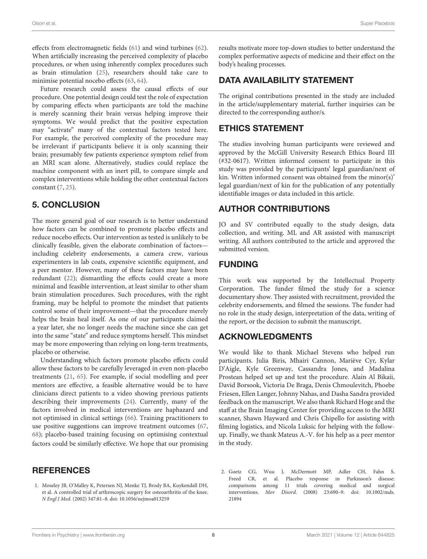effects from electromagnetic fields [\(61\)](#page-11-12) and wind turbines [\(62\)](#page-11-13). When artificially increasing the perceived complexity of placebo procedures, or when using inherently complex procedures such as brain stimulation [\(25\)](#page-10-21), researchers should take care to minimise potential nocebo effects [\(63,](#page-11-14) [64\)](#page-11-15).

Future research could assess the causal effects of our procedure. One potential design could test the role of expectation by comparing effects when participants are told the machine is merely scanning their brain versus helping improve their symptoms. We would predict that the positive expectation may "activate" many of the contextual factors tested here. For example, the perceived complexity of the procedure may be irrelevant if participants believe it is only scanning their brain; presumably few patients experience symptom relief from an MRI scan alone. Alternatively, studies could replace the machine component with an inert pill, to compare simple and complex interventions while holding the other contextual factors constant [\(7,](#page-10-4) [25\)](#page-10-21).

# 5. CONCLUSION

The more general goal of our research is to better understand how factors can be combined to promote placebo effects and reduce nocebo effects. Our intervention as tested is unlikely to be clinically feasible, given the elaborate combination of factors including celebrity endorsements, a camera crew, various experimenters in lab coats, expensive scientific equipment, and a peer mentor. However, many of these factors may have been redundant [\(22\)](#page-10-18); dismantling the effects could create a more minimal and feasible intervention, at least similar to other sham brain stimulation procedures. Such procedures, with the right framing, may be helpful to promote the mindset that patients control some of their improvement—that the procedure merely helps the brain heal itself. As one of our participants claimed a year later, she no longer needs the machine since she can get into the same "state" and reduce symptoms herself. This mindset may be more empowering than relying on long-term treatments, placebo or otherwise.

Understanding which factors promote placebo effects could allow these factors to be carefully leveraged in even non-placebo treatments [\(21,](#page-10-17) [65\)](#page-11-16). For example, if social modelling and peer mentors are effective, a feasible alternative would be to have clinicians direct patients to a video showing previous patients describing their improvements [\(24\)](#page-10-20). Currently, many of the factors involved in medical interventions are haphazard and not optimised in clinical settings [\(66\)](#page-11-17). Training practitioners to use positive suggestions can improve treatment outcomes [\(67,](#page-11-18) [68\)](#page-11-19); placebo-based training focusing on optimising contextual factors could be similarly effective. We hope that our promising

### **REFERENCES**

<span id="page-9-0"></span>1. Moseley JB, O'Malley K, Petersen NJ, Menke TJ, Brody BA, Kuykendall DH, et al. A controlled trial of arthroscopic surgery for osteoarthritis of the knee. N Engl J Med. (2002) 347:81–8. doi: [10.1056/nejmoa013259](https://doi.org/10.1056/nejmoa013259)

results motivate more top-down studies to better understand the complex performative aspects of medicine and their effect on the body's healing processes.

# DATA AVAILABILITY STATEMENT

The original contributions presented in the study are included in the article/supplementary material, further inquiries can be directed to the corresponding author/s.

# ETHICS STATEMENT

The studies involving human participants were reviewed and approved by the McGill University Research Ethics Board III (#32-0617). Written informed consent to participate in this study was provided by the participants' legal guardian/next of kin. Written informed consent was obtained from the minor(s)' legal guardian/next of kin for the publication of any potentially identifiable images or data included in this article.

# AUTHOR CONTRIBUTIONS

JO and SV contributed equally to the study design, data collection, and writing. ML and AR assisted with manuscript writing. All authors contributed to the article and approved the submitted version.

# FUNDING

This work was supported by the Intellectual Property Corporation. The funder filmed the study for a science documentary show. They assisted with recruitment, provided the celebrity endorsements, and filmed the sessions. The funder had no role in the study design, interpretation of the data, writing of the report, or the decision to submit the manuscript.

# ACKNOWLEDGMENTS

We would like to thank Michael Stevens who helped run participants. Julia Biris, Mhairi Cannon, Mariève Cyr, Kylar D'Aigle, Kyle Greenway, Cassandra Jones, and Madalina Prostean helped set up and test the procedure. Alain Al Bikaii, David Borsook, Victoria De Braga, Denis Chmoulevitch, Phoebe Friesen, Ellen Langer, Johnny Nahas, and Dasha Sandra provided feedback on the manuscript. We also thank Richard Hoge and the staff at the Brain Imaging Center for providing access to the MRI scanner, Shawn Hayward and Chris Chipello for assisting with filming logistics, and Nicola Luksic for helping with the followup. Finally, we thank Mateus A.-V. for his help as a peer mentor in the study.

<span id="page-9-1"></span>2. Goetz CG, Wuu J, McDermott MP, Adler CH, Fahn S, Freed CR, et al. Placebo response in Parkinson's disease: comparisons among 11 trials covering medical and surgical interventions. Mov Disord. [\(2008\) 23:690–9. doi: 10.1002/mds.](https://doi.org/10.1002/mds.21894) 21894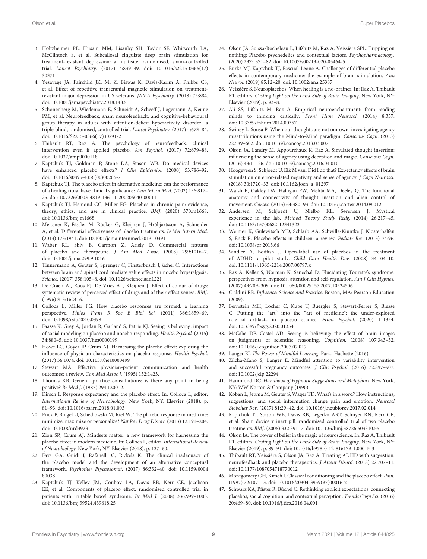- <span id="page-10-0"></span>3. Holtzheimer PE, Husain MM, Lisanby SH, Taylor SF, Whitworth LA, McClintock S, et al. Subcallosal cingulate deep brain stimulation for treatment-resistant depression: a multisite, randomised, sham-controlled trial. Lancet Psychiatry. [\(2017\) 4:839–49. doi: 10.1016/s2215-0366\(17\)](https://doi.org/10.1016/s2215-0366(17)30371-1) 30371-1
- <span id="page-10-1"></span>4. Yesavage JA, Fairchild JK, Mi Z, Biswas K, Davis-Karim A, Phibbs CS, et al. Effect of repetitive transcranial magnetic stimulation on treatmentresistant major depression in US veterans. JAMA Psychiatry. (2018) 75:884. doi: [10.1001/jamapsychiatry.2018.1483](https://doi.org/10.1001/jamapsychiatry.2018.1483)
- <span id="page-10-2"></span>5. Schönenberg M, Wiedemann E, Schneidt A, Scheeff J, Logemann A, Keune PM, et al. Neurofeedback, sham neurofeedback, and cognitive-behavioural group therapy in adults with attention-deficit hyperactivity disorder: a triple-blind, randomised, controlled trial. Lancet Psychiatry. (2017) 4:673–84. doi: [10.1016/S2215-0366\(17\)30291-2](https://doi.org/10.1016/S2215-0366(17)30291-2)
- <span id="page-10-3"></span>6. Thibault RT, Raz A. The psychology of neurofeedback: clinical intervention even if applied placebo. Am Psychol. (2017) 72:679–88. doi: [10.1037/amp0000118](https://doi.org/10.1037/amp0000118)
- <span id="page-10-4"></span>7. Kaptchuk TJ, Goldman P, Stone DA, Stason WB. Do medical devices have enhanced placebo effects? J Clin Epidemiol. (2000) 53:786–92. doi: [10.1016/s0895-4356\(00\)00206-7](https://doi.org/10.1016/s0895-4356(00)00206-7)
- <span id="page-10-15"></span>8. Kaptchuk TJ. The placebo effect in alternative medicine: can the performance of a healing ritual have clinical significance? Ann Intern Med. (2002) 136:817– 25. doi: [10.7326/0003-4819-136-11-200206040-00011](https://doi.org/10.7326/0003-4819-136-11-200206040-00011)
- <span id="page-10-5"></span>9. Kaptchuk TJ, Hemond CC, Miller FG. Placebos in chronic pain: evidence, theory, ethics, and use in clinical practice. BMJ. (2020) 370:m1668. doi: [10.1136/bmj.m1668](https://doi.org/10.1136/bmj.m1668)
- <span id="page-10-6"></span>10. Meissner K, Fässler M, Rücker G, Kleijnen J, Hróbjartsson A, Schneider A, et al. Differential effectiveness of placebo treatments. JAMA Intern Med. (2013) 173:1941. doi: [10.1001/jamainternmed.2013.10391](https://doi.org/10.1001/jamainternmed.2013.10391)
- <span id="page-10-7"></span>11. Waber RL, Shiv B, Carmon Z, Ariely D. Commercial features of placebo and therapeutic. J Am Med Assoc. (2008) 299:1016–7. doi: [10.1001/jama.299.9.1016](https://doi.org/10.1001/jama.299.9.1016)
- <span id="page-10-8"></span>12. Tinnermann A, Geuter S, Sprenger C, Finsterbusch J, üchel C. Interactions between brain and spinal cord mediate value effects in nocebo hyperalgesia. Science. (2017) 358:105–8. doi: [10.1126/science.aan1221](https://doi.org/10.1126/science.aan1221)
- <span id="page-10-9"></span>13. De Craen AJ, Roos PJ, De Vries AL, Kleijnen J. Effect of colour of drugs: systematic review of perceived effect of drugs and of their effectiveness. BMJ. (1996) 313:1624–6.
- <span id="page-10-10"></span>14. Colloca L, Miller FG. How placebo responses are formed: a learning perspective. Philos Trans R Soc B Biol Sci. (2011) 366:1859–69. doi: [10.1098/rstb.2010.0398](https://doi.org/10.1098/rstb.2010.0398)
- <span id="page-10-11"></span>15. Faasse K, Grey A, Jordan R, Garland S, Petrie KJ. Seeing is believing: impact of social modeling on placebo and nocebo responding. Health Psychol. (2015) 34:880–5. doi: [10.1037/hea0000199](https://doi.org/10.1037/hea0000199)
- <span id="page-10-12"></span>16. Howe LC, Goyer JP, Crum AJ. Harnessing the placebo effect: exploring the influence of physician characteristics on placebo response. Health Psychol. (2017) 36:1074. doi: [10.1037/hea0000499](https://doi.org/10.1037/hea0000499)
- <span id="page-10-42"></span>17. Stewart MA. Effective physician-patient communication and health outcomes: a review. Can Med Assoc J. (1995) 152:1423.
- <span id="page-10-13"></span>18. Thomas KB. General practice consultations: is there any point in being positive? Br Med J. (1987) 294:1200–2.
- <span id="page-10-14"></span>19. Kirsch I. Response expectancy and the placebo effect. In: Colloca L, editor. International Review of Neurobiology. New York, NY: Elsevier (2018). p. 81–93. doi: [10.1016/bs.irn.2018.01.003](https://doi.org/10.1016/bs.irn.2018.01.003)
- <span id="page-10-16"></span>20. Enck P, Bingel U, Schedlowski M, Rief W. The placebo response in medicine: minimize, maximize or personalize? Nat Rev Drug Discov. (2013) 12:191–204. doi: [10.1038/nrd3923](https://doi.org/10.1038/nrd3923)
- <span id="page-10-17"></span>21. Zion SR, Crum AJ. Mindsets matter: a new framework for harnessing the placebo effect in modern medicine. In: Colloca L, editor. International Review of Neurobiology. New York, NY: Elsevier (2018). p. 137–60.
- <span id="page-10-18"></span>22. Fava GA, Guidi J, Rafanelli C, Rickels K. The clinical inadequacy of the placebo model and the development of an alternative conceptual framework. Psychother Psychosomat. [\(2017\) 86:332–40. doi: 10.1159/0004](https://doi.org/10.1159/000480038) 80038
- <span id="page-10-19"></span>23. Kaptchuk TJ, Kelley JM, Conboy LA, Davis RB, Kerr CE, Jacobson EE, et al. Components of placebo effect: randomised controlled trial in patients with irritable bowel syndrome. Br Med J. (2008) 336:999–1003. doi: [10.1136/bmj.39524.439618.25](https://doi.org/10.1136/bmj.39524.439618.25)
- <span id="page-10-20"></span>24. Olson JA, Suissa-Rocheleau L, Lifshitz M, Raz A, Veissière SPL. Tripping on nothing: Placebo psychedelics and contextual factors. Psychopharmacology. (2020) 237:1371–82. doi: [10.1007/s00213-020-05464-5](https://doi.org/10.1007/s00213-020-05464-5)
- <span id="page-10-21"></span>25. Burke MJ, Kaptchuk TJ, Pascual-Leone A. Challenges of differential placebo effects in contemporary medicine: the example of brain stimulation. Ann Neurol. (2019) 85:12–20. doi: [10.1002/ana.25387](https://doi.org/10.1002/ana.25387)
- <span id="page-10-22"></span>26. Veissière S. Neuroplacebos: When healing is a no-brainer. In: Raz A, Thibault RT, editors. Casting Light on the Dark Side of Brain Imaging. New York, NY: Elsevier (2019). p. 93–8.
- <span id="page-10-23"></span>27. Ali SS, Lifshitz M, Raz A. Empirical neuroenchantment: from reading minds to thinking critically. Front Hum Neurosci. (2014) 8:357. doi: [10.3389/fnhum.2014.00357](https://doi.org/10.3389/fnhum.2014.00357)
- <span id="page-10-24"></span>28. Swiney L, Sousa P. When our thoughts are not our own: investigating agency misattributions using the Mind-to-Mind paradigm. Conscious Cogn. (2013) 22:589–602. doi: [10.1016/j.concog.2013.03.007](https://doi.org/10.1016/j.concog.2013.03.007)
- <span id="page-10-25"></span>29. Olson JA, Landry M, Appourchaux K, Raz A. Simulated thought insertion: influencing the sense of agency using deception and magic. Conscious Cogn. (2016) 43:11–26. doi: [10.1016/j.concog.2016.04.010](https://doi.org/10.1016/j.concog.2016.04.010)
- <span id="page-10-26"></span>30. Hoogeveen S, Schjoedt U, Elk M van. Did I do that? Expectancy effects of brain stimulation on error-related negativity and sense of agency. J Cogn Neurosci. (2018) 30:1720–33. doi: [10.1162/jocn\\_a\\_01297](https://doi.org/10.1162/jocn_a_01297)
- <span id="page-10-27"></span>31. Walsh E, Oakley DA, Halligan PW, Mehta MA, Deeley Q. The functional anatomy and connectivity of thought insertion and alien control of movement. Cortex. (2015) 64:380–93. doi: [10.1016/j.cortex.2014.09.012](https://doi.org/10.1016/j.cortex.2014.09.012)
- <span id="page-10-28"></span>32. Andersen M, Schjoedt U, Nielbo KL, Sørensen J. Mystical experience in the lab. Method Theory Study Relig. (2014) 26:217–45. doi: [10.1163/15700682-12341323](https://doi.org/10.1163/15700682-12341323)
- <span id="page-10-29"></span>33. Weimer K, Gulewitsch MD, Schlarb AA, Schwille-Kiuntke J, Klosterhalfen S, Enck P. Placebo effects in children: a review. Pediatr Res. (2013) 74:96. doi: [10.1038/pr.2013.66](https://doi.org/10.1038/pr.2013.66)
- <span id="page-10-30"></span>34. Sandler A, Bodfish J. Open-label use of placebos in the treatment of ADHD: a pilot study. Child Care Health Dev. (2008) 34:104–10. doi: [10.1111/j.1365-2214.2007.00797.x](https://doi.org/10.1111/j.1365-2214.2007.00797.x)
- <span id="page-10-31"></span>35. Raz A, Keller S, Norman K, Senechal D. Elucidating Tourette's syndrome: perspectives from hypnosis, attention and self-regulation. Am J Clin Hypnos. (2007) 49:289–309. doi: [10.1080/00029157.2007.10524506](https://doi.org/10.1080/00029157.2007.10524506)
- <span id="page-10-32"></span>36. Cialdini RB. Influence: Science and Practice. Boston, MA: Pearson Education (2009).
- <span id="page-10-33"></span>37. Bernstein MH, Locher C, Kube T, Buergler S, Stewart-Ferrer S, Blease C. Putting the "art" into the "art of medicine": the under-explored role of artifacts in placebo studies. Front Psychol. (2020) 111354. doi: [10.3389/fpsyg.2020.01354](https://doi.org/10.3389/fpsyg.2020.01354)
- <span id="page-10-34"></span>38. McCabe DP, Castel AD. Seeing is believing: the effect of brain images on judgments of scientific reasoning. Cognition. (2008) 107:343–52. doi: [10.1016/j.cognition.2007.07.017](https://doi.org/10.1016/j.cognition.2007.07.017)
- <span id="page-10-35"></span>39. Langer EJ. The Power of Mindful Learning. Paris: Hachette (2016).
- <span id="page-10-36"></span>40. Zilcha-Mano S, Langer E. Mindful attention to variability intervention and successful pregnancy outcomes. J Clin Psychol. (2016) 72:897–907. doi: [10.1002/jclp.22294](https://doi.org/10.1002/jclp.22294)
- <span id="page-10-43"></span>41. Hammond DC. Handbook of Hypnotic Suggestions and Metaphors. New York, NY: WW Norton & Company (1990).
- <span id="page-10-40"></span>42. Koban L, Jepma M, Geuter S, Wager TD. What's in a word? How instructions, suggestions, and social information change pain and emotion. Neurosci Biobehav Rev. (2017) 81:29–42. doi: [10.1016/j.neubiorev.2017.02.014](https://doi.org/10.1016/j.neubiorev.2017.02.014)
- <span id="page-10-37"></span>43. Kaptchuk TJ, Stason WB, Davis RB, Legedza ART, Schnyer RN, Kerr CE, et al. Sham device v inert pill: randomised controlled trial of two placebo treatments. BMJ. (2006) 332:391–7. doi: [10.1136/bmj.38726.603310.55](https://doi.org/10.1136/bmj.38726.603310.55)
- 44. Olson JA. The power of belief in the magic of neuroscience. In: Raz A, Thibault RT, editors. Casting Light on the Dark Side of Brain Imaging. New York, NY: Elsevier (2019). p. 89–91. doi: [10.1016/b978-0-12-816179-1.00015-3](https://doi.org/10.1016/b978-0-12-816179-1.00015-3)
- <span id="page-10-38"></span>45. Thibault RT, Veissière S, Olson JA, Raz A. Treating ADHD with suggestion: neurofeedback and placebo therapeutics. J Attent Disord. (2018) 22:707–11. doi: [10.1177/1087054718770012](https://doi.org/10.1177/1087054718770012)
- <span id="page-10-39"></span>46. Montgomery GH, Kirsch I. Classical conditioning and the placebo effect. Pain. (1997) 72:107–13. doi: [10.1016/s0304-3959\(97\)00016-x](https://doi.org/10.1016/s0304-3959(97)00016-x)
- <span id="page-10-41"></span>47. Schwarz KA, Pfister R, Büchel C. Rethinking explicit expectations: connecting placebos, social cognition, and contextual perception. Trends Cogn Sci. (2016) 20:469–80. doi: [10.1016/j.tics.2016.04.001](https://doi.org/10.1016/j.tics.2016.04.001)